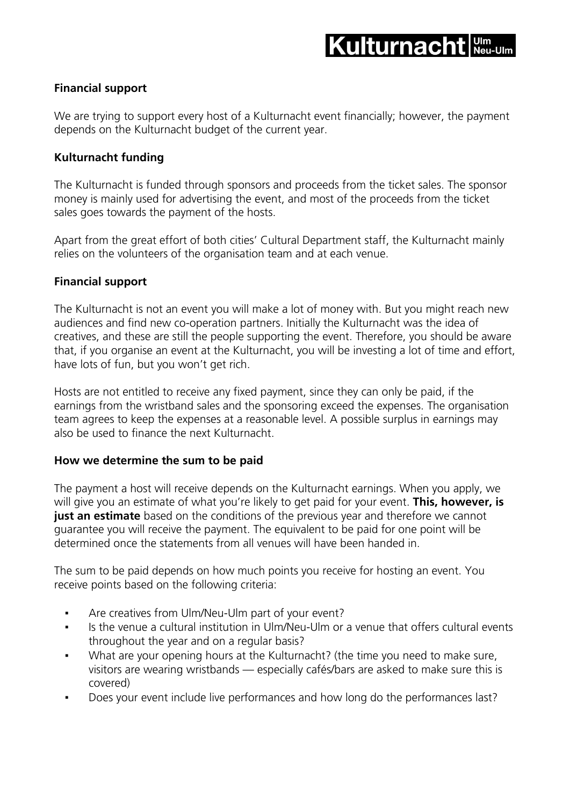## **Financial support**

We are trying to support every host of a Kulturnacht event financially; however, the payment depends on the Kulturnacht budget of the current year.

# **Kulturnacht funding**

The Kulturnacht is funded through sponsors and proceeds from the ticket sales. The sponsor money is mainly used for advertising the event, and most of the proceeds from the ticket sales goes towards the payment of the hosts.

Apart from the great effort of both cities' Cultural Department staff, the Kulturnacht mainly relies on the volunteers of the organisation team and at each venue.

### **Financial support**

The Kulturnacht is not an event you will make a lot of money with. But you might reach new audiences and find new co-operation partners. Initially the Kulturnacht was the idea of creatives, and these are still the people supporting the event. Therefore, you should be aware that, if you organise an event at the Kulturnacht, you will be investing a lot of time and effort, have lots of fun, but you won't get rich.

Hosts are not entitled to receive any fixed payment, since they can only be paid, if the earnings from the wristband sales and the sponsoring exceed the expenses. The organisation team agrees to keep the expenses at a reasonable level. A possible surplus in earnings may also be used to finance the next Kulturnacht.

### **How we determine the sum to be paid**

The payment a host will receive depends on the Kulturnacht earnings. When you apply, we will give you an estimate of what you're likely to get paid for your event. **This, however, is just an estimate** based on the conditions of the previous year and therefore we cannot guarantee you will receive the payment. The equivalent to be paid for one point will be determined once the statements from all venues will have been handed in.

The sum to be paid depends on how much points you receive for hosting an event. You receive points based on the following criteria:

- Are creatives from Ulm/Neu-Ulm part of your event?
- Is the venue a cultural institution in Ulm/Neu-Ulm or a venue that offers cultural events throughout the year and on a regular basis?
- What are your opening hours at the Kulturnacht? (the time you need to make sure, visitors are wearing wristbands — especially cafés/bars are asked to make sure this is covered)
- Does your event include live performances and how long do the performances last?